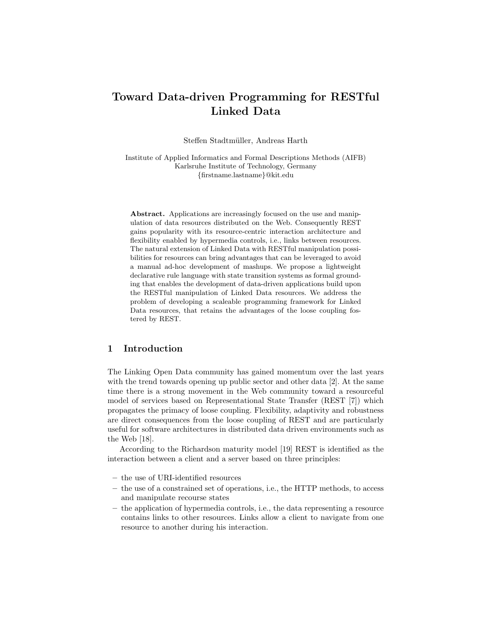# Toward Data-driven Programming for RESTful Linked Data

Steffen Stadtmüller, Andreas Harth

Institute of Applied Informatics and Formal Descriptions Methods (AIFB) Karlsruhe Institute of Technology, Germany {firstname.lastname}@kit.edu

Abstract. Applications are increasingly focused on the use and manipulation of data resources distributed on the Web. Consequently REST gains popularity with its resource-centric interaction architecture and flexibility enabled by hypermedia controls, i.e., links between resources. The natural extension of Linked Data with RESTful manipulation possibilities for resources can bring advantages that can be leveraged to avoid a manual ad-hoc development of mashups. We propose a lightweight declarative rule language with state transition systems as formal grounding that enables the development of data-driven applications build upon the RESTful manipulation of Linked Data resources. We address the problem of developing a scaleable programming framework for Linked Data resources, that retains the advantages of the loose coupling fostered by REST.

## 1 Introduction

The Linking Open Data community has gained momentum over the last years with the trend towards opening up public sector and other data [2]. At the same time there is a strong movement in the Web community toward a resourceful model of services based on Representational State Transfer (REST [7]) which propagates the primacy of loose coupling. Flexibility, adaptivity and robustness are direct consequences from the loose coupling of REST and are particularly useful for software architectures in distributed data driven environments such as the Web [18].

According to the Richardson maturity model [19] REST is identified as the interaction between a client and a server based on three principles:

- the use of URI-identified resources
- the use of a constrained set of operations, i.e., the HTTP methods, to access and manipulate recourse states
- the application of hypermedia controls, i.e., the data representing a resource contains links to other resources. Links allow a client to navigate from one resource to another during his interaction.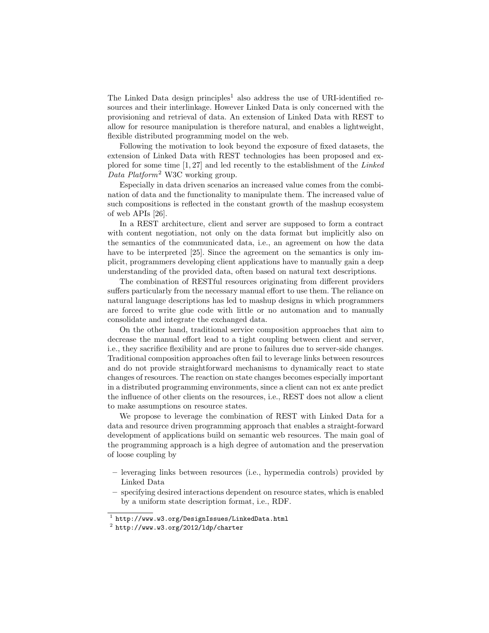The Linked Data design principles<sup>1</sup> also address the use of URI-identified resources and their interlinkage. However Linked Data is only concerned with the provisioning and retrieval of data. An extension of Linked Data with REST to allow for resource manipulation is therefore natural, and enables a lightweight, flexible distributed programming model on the web.

Following the motivation to look beyond the exposure of fixed datasets, the extension of Linked Data with REST technologies has been proposed and explored for some time [1, 27] and led recently to the establishment of the Linked Data Platform<sup>2</sup> W3C working group.

Especially in data driven scenarios an increased value comes from the combination of data and the functionality to manipulate them. The increased value of such compositions is reflected in the constant growth of the mashup ecosystem of web APIs [26].

In a REST architecture, client and server are supposed to form a contract with content negotiation, not only on the data format but implicitly also on the semantics of the communicated data, i.e., an agreement on how the data have to be interpreted [25]. Since the agreement on the semantics is only implicit, programmers developing client applications have to manually gain a deep understanding of the provided data, often based on natural text descriptions.

The combination of RESTful resources originating from different providers suffers particularly from the necessary manual effort to use them. The reliance on natural language descriptions has led to mashup designs in which programmers are forced to write glue code with little or no automation and to manually consolidate and integrate the exchanged data.

On the other hand, traditional service composition approaches that aim to decrease the manual effort lead to a tight coupling between client and server, i.e., they sacrifice flexibility and are prone to failures due to server-side changes. Traditional composition approaches often fail to leverage links between resources and do not provide straightforward mechanisms to dynamically react to state changes of resources. The reaction on state changes becomes especially important in a distributed programming environments, since a client can not ex ante predict the influence of other clients on the resources, i.e., REST does not allow a client to make assumptions on resource states.

We propose to leverage the combination of REST with Linked Data for a data and resource driven programming approach that enables a straight-forward development of applications build on semantic web resources. The main goal of the programming approach is a high degree of automation and the preservation of loose coupling by

- leveraging links between resources (i.e., hypermedia controls) provided by Linked Data
- specifying desired interactions dependent on resource states, which is enabled by a uniform state description format, i.e., RDF.

 $^1$  http://www.w3.org/DesignIssues/LinkedData.html

 $^2$  http://www.w3.org/2012/1dp/charter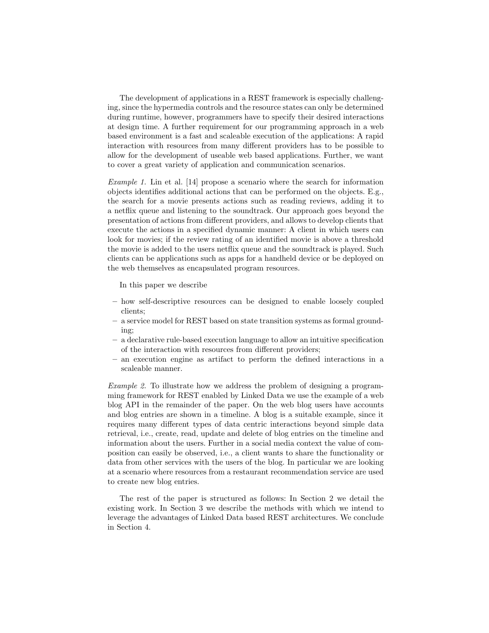The development of applications in a REST framework is especially challenging, since the hypermedia controls and the resource states can only be determined during runtime, however, programmers have to specify their desired interactions at design time. A further requirement for our programming approach in a web based environment is a fast and scaleable execution of the applications: A rapid interaction with resources from many different providers has to be possible to allow for the development of useable web based applications. Further, we want to cover a great variety of application and communication scenarios.

Example 1. Lin et al. [14] propose a scenario where the search for information objects identifies additional actions that can be performed on the objects. E.g., the search for a movie presents actions such as reading reviews, adding it to a netflix queue and listening to the soundtrack. Our approach goes beyond the presentation of actions from different providers, and allows to develop clients that execute the actions in a specified dynamic manner: A client in which users can look for movies; if the review rating of an identified movie is above a threshold the movie is added to the users netflix queue and the soundtrack is played. Such clients can be applications such as apps for a handheld device or be deployed on the web themselves as encapsulated program resources.

In this paper we describe

- how self-descriptive resources can be designed to enable loosely coupled clients;
- a service model for REST based on state transition systems as formal grounding;
- a declarative rule-based execution language to allow an intuitive specification of the interaction with resources from different providers;
- an execution engine as artifact to perform the defined interactions in a scaleable manner.

Example 2. To illustrate how we address the problem of designing a programming framework for REST enabled by Linked Data we use the example of a web blog API in the remainder of the paper. On the web blog users have accounts and blog entries are shown in a timeline. A blog is a suitable example, since it requires many different types of data centric interactions beyond simple data retrieval, i.e., create, read, update and delete of blog entries on the timeline and information about the users. Further in a social media context the value of composition can easily be observed, i.e., a client wants to share the functionality or data from other services with the users of the blog. In particular we are looking at a scenario where resources from a restaurant recommendation service are used to create new blog entries.

The rest of the paper is structured as follows: In Section 2 we detail the existing work. In Section 3 we describe the methods with which we intend to leverage the advantages of Linked Data based REST architectures. We conclude in Section 4.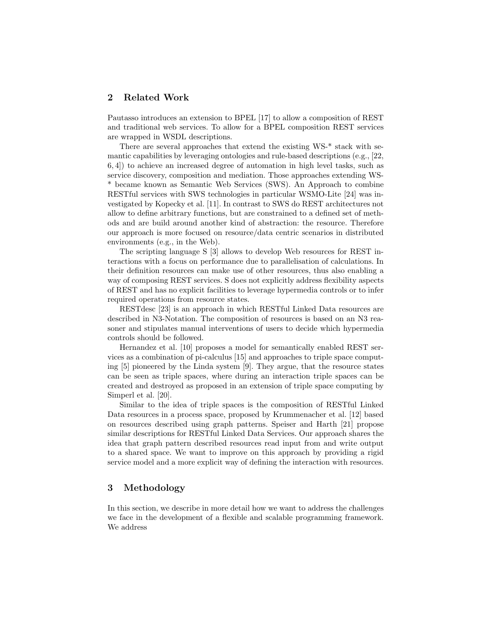# 2 Related Work

Pautasso introduces an extension to BPEL [17] to allow a composition of REST and traditional web services. To allow for a BPEL composition REST services are wrapped in WSDL descriptions.

There are several approaches that extend the existing WS-\* stack with semantic capabilities by leveraging ontologies and rule-based descriptions (e.g., [22, 6, 4]) to achieve an increased degree of automation in high level tasks, such as service discovery, composition and mediation. Those approaches extending WS- \* became known as Semantic Web Services (SWS). An Approach to combine RESTful services with SWS technologies in particular WSMO-Lite [24] was investigated by Kopecky et al. [11]. In contrast to SWS do REST architectures not allow to define arbitrary functions, but are constrained to a defined set of methods and are build around another kind of abstraction: the resource. Therefore our approach is more focused on resource/data centric scenarios in distributed environments (e.g., in the Web).

The scripting language S [3] allows to develop Web resources for REST interactions with a focus on performance due to parallelisation of calculations. In their definition resources can make use of other resources, thus also enabling a way of composing REST services. S does not explicitly address flexibility aspects of REST and has no explicit facilities to leverage hypermedia controls or to infer required operations from resource states.

RESTdesc [23] is an approach in which RESTful Linked Data resources are described in N3-Notation. The composition of resources is based on an N3 reasoner and stipulates manual interventions of users to decide which hypermedia controls should be followed.

Hernandez et al. [10] proposes a model for semantically enabled REST services as a combination of pi-calculus [15] and approaches to triple space computing [5] pioneered by the Linda system [9]. They argue, that the resource states can be seen as triple spaces, where during an interaction triple spaces can be created and destroyed as proposed in an extension of triple space computing by Simperl et al. [20].

Similar to the idea of triple spaces is the composition of RESTful Linked Data resources in a process space, proposed by Krummenacher et al. [12] based on resources described using graph patterns. Speiser and Harth [21] propose similar descriptions for RESTful Linked Data Services. Our approach shares the idea that graph pattern described resources read input from and write output to a shared space. We want to improve on this approach by providing a rigid service model and a more explicit way of defining the interaction with resources.

# 3 Methodology

In this section, we describe in more detail how we want to address the challenges we face in the development of a flexible and scalable programming framework. We address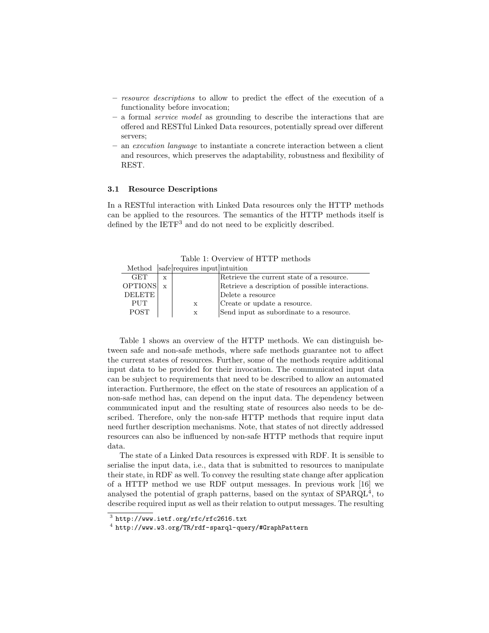- resource descriptions to allow to predict the effect of the execution of a functionality before invocation;
- a formal service model as grounding to describe the interactions that are offered and RESTful Linked Data resources, potentially spread over different servers;
- an execution language to instantiate a concrete interaction between a client and resources, which preserves the adaptability, robustness and flexibility of REST.

#### 3.1 Resource Descriptions

In a RESTful interaction with Linked Data resources only the HTTP methods can be applied to the resources. The semantics of the HTTP methods itself is defined by the IETF<sup>3</sup> and do not need to be explicitly described.

Table 1: Overview of HTTP methods

| Method safe requires input intuition |
|--------------------------------------|
|--------------------------------------|

| <b>GET</b>    | $\mathbf x$ |              | Retrieve the current state of a resource.        |
|---------------|-------------|--------------|--------------------------------------------------|
| OPTIONS x     |             |              | Retrieve a description of possible interactions. |
| <b>DELETE</b> |             |              | Delete a resource                                |
| <b>PHT</b>    |             | $\mathbf x$  | Create or update a resource.                     |
| <b>POST</b>   |             | $\mathbf{x}$ | Send input as subordinate to a resource.         |

Table 1 shows an overview of the HTTP methods. We can distinguish between safe and non-safe methods, where safe methods guarantee not to affect the current states of resources. Further, some of the methods require additional input data to be provided for their invocation. The communicated input data can be subject to requirements that need to be described to allow an automated interaction. Furthermore, the effect on the state of resources an application of a non-safe method has, can depend on the input data. The dependency between communicated input and the resulting state of resources also needs to be described. Therefore, only the non-safe HTTP methods that require input data need further description mechanisms. Note, that states of not directly addressed resources can also be influenced by non-safe HTTP methods that require input data.

The state of a Linked Data resources is expressed with RDF. It is sensible to serialise the input data, i.e., data that is submitted to resources to manipulate their state, in RDF as well. To convey the resulting state change after application of a HTTP method we use RDF output messages. In previous work [16] we analysed the potential of graph patterns, based on the syntax of SPARQL<sup>4</sup>, to describe required input as well as their relation to output messages. The resulting

 $^3$  http://www.ietf.org/rfc/rfc2616.txt

<sup>4</sup> http://www.w3.org/TR/rdf-sparql-query/#GraphPattern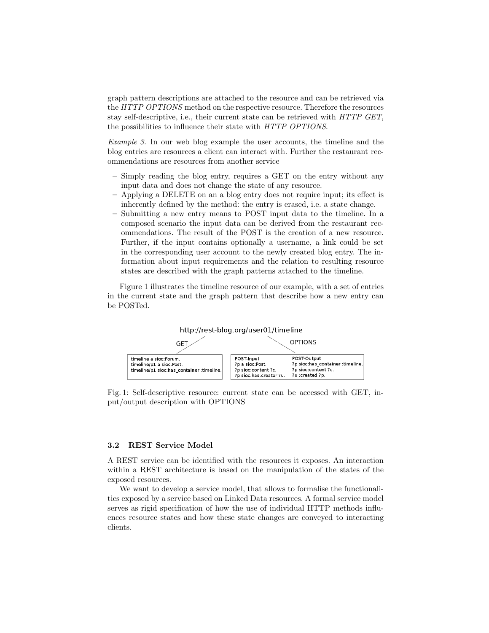graph pattern descriptions are attached to the resource and can be retrieved via the HTTP OPTIONS method on the respective resource. Therefore the resources stay self-descriptive, i.e., their current state can be retrieved with HTTP GET, the possibilities to influence their state with HTTP OPTIONS.

Example 3. In our web blog example the user accounts, the timeline and the blog entries are resources a client can interact with. Further the restaurant recommendations are resources from another service

- Simply reading the blog entry, requires a GET on the entry without any input data and does not change the state of any resource.
- Applying a DELETE on an a blog entry does not require input; its effect is inherently defined by the method: the entry is erased, i.e. a state change.
- Submitting a new entry means to POST input data to the timeline. In a composed scenario the input data can be derived from the restaurant recommendations. The result of the POST is the creation of a new resource. Further, if the input contains optionally a username, a link could be set in the corresponding user account to the newly created blog entry. The information about input requirements and the relation to resulting resource states are described with the graph patterns attached to the timeline.

Figure 1 illustrates the timeline resource of our example, with a set of entries in the current state and the graph pattern that describe how a new entry can be POSTed.



Fig. 1: Self-descriptive resource: current state can be accessed with GET, input/output description with OPTIONS

#### 3.2 REST Service Model

A REST service can be identified with the resources it exposes. An interaction within a REST architecture is based on the manipulation of the states of the exposed resources.

We want to develop a service model, that allows to formalise the functionalities exposed by a service based on Linked Data resources. A formal service model serves as rigid specification of how the use of individual HTTP methods influences resource states and how these state changes are conveyed to interacting clients.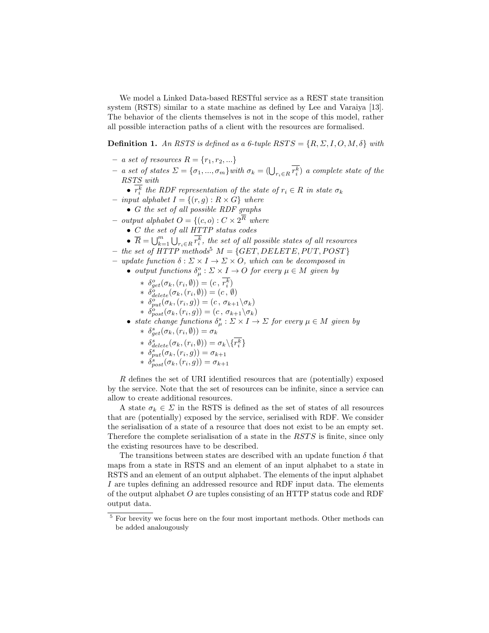We model a Linked Data-based RESTful service as a REST state transition system (RSTS) similar to a state machine as defined by Lee and Varaiya [13]. The behavior of the clients themselves is not in the scope of this model, rather all possible interaction paths of a client with the resources are formalised.

**Definition 1.** An RSTS is defined as a 6-tuple  $RSTS = \{R, \Sigma, I, O, M, \delta\}$  with

- a set of resources  $R = \{r_1, r_2, ...\}$
- $-$  a set of states  $\Sigma = {\sigma_1, ..., \sigma_m}$  with  $\sigma_k = (\bigcup_{r_i \in R} r_i^k)$  a complete state of the RSTS with
	- $r_i^k$  the RDF representation of the state of  $r_i \in R$  in state  $\sigma_k$
- input alphabet  $I = \{(r, g) : R \times G\}$  where
	- G the set of all possible RDF graphs
- output alphabet  $O = \{(c, o) : C \times 2^R$  where
	- $\bullet$  C the set of all HTTP status codes
	- $\overline{R} = \bigcup_{k=1}^m \bigcup_{r_i \in R} \overline{r_i^k}$ , the set of all possible states of all resources
- the set of HTTP methods<sup>5</sup>  $M = \{GET, DELETE, PUT, POST\}$
- update function  $\delta : \Sigma \times I \to \Sigma \times O$ , which can be decomposed in
	- output functions  $\delta_{\mu}^{o} : \Sigma \times I \to O$  for every  $\mu \in M$  given by
		- \*  $\delta_{get}^o(\sigma_k, (r_i, \emptyset)) = (c, r_i^k)$
		- \*  $\delta_{delete}^o(\sigma_k, (r_i, \emptyset)) = (c, \emptyset)$
		- \*  $\delta_{put}^o(\sigma_k, (r_i, g)) = (c, \sigma_{k+1} \backslash \sigma_k)$
		- \*  $\delta_{post}^o(\sigma_k, (r_i, g)) = (c, \sigma_{k+1} \backslash \sigma_k)$
	- state change functions  $\delta^s_\mu : \Sigma \times I \to \Sigma$  for every  $\mu \in M$  given by \*  $\delta_{get}^s(\sigma_k, (r_i, \emptyset)) = \sigma_k$ 
		- \*  $\delta_{delete}^{s}(\sigma_k, (r_i, \emptyset)) = \sigma_k \backslash \{r_i^k\}$
		- \*  $\delta_{put}^s(\sigma_k, (r_i, g)) = \sigma_{k+1}$
		- \*  $\delta_{post}^s(\sigma_k, (r_i, g)) = \sigma_{k+1}$

R defines the set of URI identified resources that are (potentially) exposed by the service. Note that the set of resources can be infinite, since a service can allow to create additional resources.

A state  $\sigma_k \in \Sigma$  in the RSTS is defined as the set of states of all resources that are (potentially) exposed by the service, serialised with RDF. We consider the serialisation of a state of a resource that does not exist to be an empty set. Therefore the complete serialisation of a state in the  $RSTS$  is finite, since only the existing resources have to be described.

The transitions between states are described with an update function  $\delta$  that maps from a state in RSTS and an element of an input alphabet to a state in RSTS and an element of an output alphabet. The elements of the input alphabet I are tuples defining an addressed resource and RDF input data. The elements of the output alphabet O are tuples consisting of an HTTP status code and RDF output data.

 $^5$  For brevity we focus here on the four most important methods. Other methods can be added analougously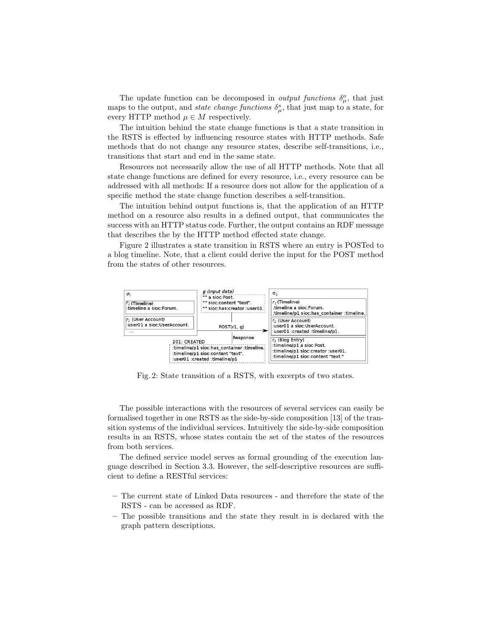The update function can be decomposed in *output functions*  $\delta_{\mu}^o$ , that just maps to the output, and *state change functions*  $\delta^s_\mu$ , that just map to a state, for every HTTP method  $\mu \in M$  respectively.

The intuition behind the state change functions is that a state transition in the RSTS is effected by influencing resource states with HTTP methods. Safe methods that do not change any resource states, describe self-transitions, i.e., transitions that start and end in the same state.

Resources not necessarily allow the use of all HTTP methods. Note that all state change functions are defined for every resource, i.e., every resource can be addressed with all methods: If a resource does not allow for the application of a specific method the state change function describes a self-transition.

The intuition behind output functions is, that the application of an HTTP method on a resource also results in a defined output, that communicates the success with an HTTP status code. Further, the output contains an RDF message that describes the by the HTTP method effected state change.

Figure 2 illustrates a state transition in RSTS where an entry is POSTed to a blog timeline. Note, that a client could derive the input for the POST method from the states of other resources.



Fig. 2: State transition of a RSTS, with excerpts of two states.

The possible interactions with the resources of several services can easily be formalised together in one RSTS as the side-by-side composition [13] of the transition systems of the individual services. Intuitively the side-by-side composition results in an RSTS, whose states contain the set of the states of the resources from both services.

The defined service model serves as formal grounding of the execution language described in Section 3.3. However, the self-descriptive resources are sufficient to define a RESTful services:

- The current state of Linked Data resources and therefore the state of the RSTS - can be accessed as RDF.
- The possible transitions and the state they result in is declared with the graph pattern descriptions.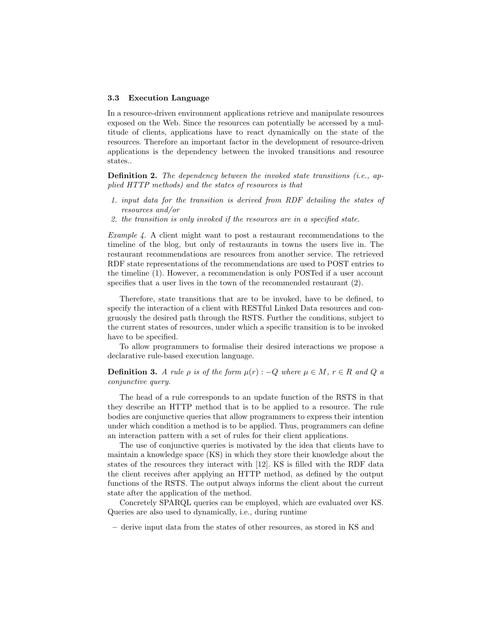#### 3.3 Execution Language

In a resource-driven environment applications retrieve and manipulate resources exposed on the Web. Since the resources can potentially be accessed by a multitude of clients, applications have to react dynamically on the state of the resources. Therefore an important factor in the development of resource-driven applications is the dependency between the invoked transitions and resource states..

**Definition 2.** The dependency between the invoked state transitions  $(i.e.,$  applied HTTP methods) and the states of resources is that

- 1. input data for the transition is derived from RDF detailing the states of resources and/or
- 2. the transition is only invoked if the resources are in a specified state.

*Example 4.* A client might want to post a restaurant recommendations to the timeline of the blog, but only of restaurants in towns the users live in. The restaurant recommendations are resources from another service. The retrieved RDF state representations of the recommendations are used to POST entries to the timeline (1). However, a recommendation is only POSTed if a user account specifies that a user lives in the town of the recommended restaurant (2).

Therefore, state transitions that are to be invoked, have to be defined, to specify the interaction of a client with RESTful Linked Data resources and congruously the desired path through the RSTS. Further the conditions, subject to the current states of resources, under which a specific transition is to be invoked have to be specified.

To allow programmers to formalise their desired interactions we propose a declarative rule-based execution language.

**Definition 3.** A rule  $\rho$  is of the form  $\mu(r)$  :  $-Q$  where  $\mu \in M$ ,  $r \in R$  and  $Q$  a conjunctive query.

The head of a rule corresponds to an update function of the RSTS in that they describe an HTTP method that is to be applied to a resource. The rule bodies are conjunctive queries that allow programmers to express their intention under which condition a method is to be applied. Thus, programmers can define an interaction pattern with a set of rules for their client applications.

The use of conjunctive queries is motivated by the idea that clients have to maintain a knowledge space (KS) in which they store their knowledge about the states of the resources they interact with [12]. KS is filled with the RDF data the client receives after applying an HTTP method, as defined by the output functions of the RSTS. The output always informs the client about the current state after the application of the method.

Concretely SPARQL queries can be employed, which are evaluated over KS. Queries are also used to dynamically, i.e., during runtime

– derive input data from the states of other resources, as stored in KS and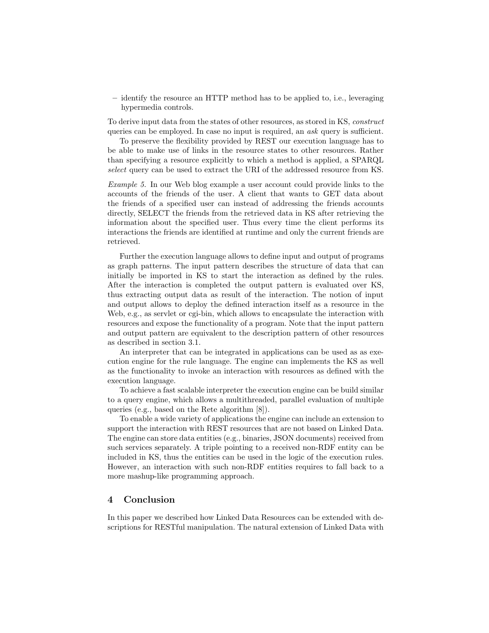– identify the resource an HTTP method has to be applied to, i.e., leveraging hypermedia controls.

To derive input data from the states of other resources, as stored in KS, construct queries can be employed. In case no input is required, an *ask* query is sufficient.

To preserve the flexibility provided by REST our execution language has to be able to make use of links in the resource states to other resources. Rather than specifying a resource explicitly to which a method is applied, a SPARQL select query can be used to extract the URI of the addressed resource from KS.

Example 5. In our Web blog example a user account could provide links to the accounts of the friends of the user. A client that wants to GET data about the friends of a specified user can instead of addressing the friends accounts directly, SELECT the friends from the retrieved data in KS after retrieving the information about the specified user. Thus every time the client performs its interactions the friends are identified at runtime and only the current friends are retrieved.

Further the execution language allows to define input and output of programs as graph patterns. The input pattern describes the structure of data that can initially be imported in KS to start the interaction as defined by the rules. After the interaction is completed the output pattern is evaluated over KS, thus extracting output data as result of the interaction. The notion of input and output allows to deploy the defined interaction itself as a resource in the Web, e.g., as servlet or cgi-bin, which allows to encapsulate the interaction with resources and expose the functionality of a program. Note that the input pattern and output pattern are equivalent to the description pattern of other resources as described in section 3.1.

An interpreter that can be integrated in applications can be used as as execution engine for the rule language. The engine can implements the KS as well as the functionality to invoke an interaction with resources as defined with the execution language.

To achieve a fast scalable interpreter the execution engine can be build similar to a query engine, which allows a multithreaded, parallel evaluation of multiple queries (e.g., based on the Rete algorithm [8]).

To enable a wide variety of applications the engine can include an extension to support the interaction with REST resources that are not based on Linked Data. The engine can store data entities (e.g., binaries, JSON documents) received from such services separately. A triple pointing to a received non-RDF entity can be included in KS, thus the entities can be used in the logic of the execution rules. However, an interaction with such non-RDF entities requires to fall back to a more mashup-like programming approach.

## 4 Conclusion

In this paper we described how Linked Data Resources can be extended with descriptions for RESTful manipulation. The natural extension of Linked Data with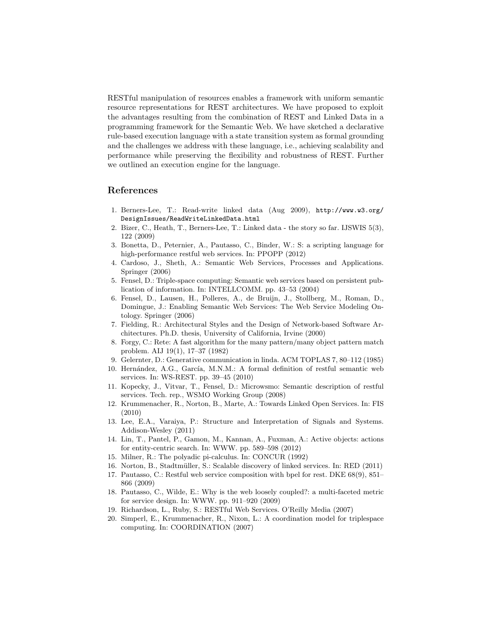RESTful manipulation of resources enables a framework with uniform semantic resource representations for REST architectures. We have proposed to exploit the advantages resulting from the combination of REST and Linked Data in a programming framework for the Semantic Web. We have sketched a declarative rule-based execution language with a state transition system as formal grounding and the challenges we address with these language, i.e., achieving scalability and performance while preserving the flexibility and robustness of REST. Further we outlined an execution engine for the language.

## References

- 1. Berners-Lee, T.: Read-write linked data (Aug 2009), http://www.w3.org/ DesignIssues/ReadWriteLinkedData.html
- 2. Bizer, C., Heath, T., Berners-Lee, T.: Linked data the story so far. IJSWIS 5(3), 122 (2009)
- 3. Bonetta, D., Peternier, A., Pautasso, C., Binder, W.: S: a scripting language for high-performance restful web services. In: PPOPP (2012)
- 4. Cardoso, J., Sheth, A.: Semantic Web Services, Processes and Applications. Springer (2006)
- 5. Fensel, D.: Triple-space computing: Semantic web services based on persistent publication of information. In: INTELLCOMM. pp. 43–53 (2004)
- 6. Fensel, D., Lausen, H., Polleres, A., de Bruijn, J., Stollberg, M., Roman, D., Domingue, J.: Enabling Semantic Web Services: The Web Service Modeling Ontology. Springer (2006)
- 7. Fielding, R.: Architectural Styles and the Design of Network-based Software Architectures. Ph.D. thesis, University of California, Irvine (2000)
- 8. Forgy, C.: Rete: A fast algorithm for the many pattern/many object pattern match problem. AIJ 19(1), 17–37 (1982)
- 9. Gelernter, D.: Generative communication in linda. ACM TOPLAS 7, 80–112 (1985)
- 10. Hernández, A.G., García, M.N.M.: A formal definition of restful semantic web services. In: WS-REST. pp. 39–45 (2010)
- 11. Kopecky, J., Vitvar, T., Fensel, D.: Microwsmo: Semantic description of restful services. Tech. rep., WSMO Working Group (2008)
- 12. Krummenacher, R., Norton, B., Marte, A.: Towards Linked Open Services. In: FIS (2010)
- 13. Lee, E.A., Varaiya, P.: Structure and Interpretation of Signals and Systems. Addison-Wesley (2011)
- 14. Lin, T., Pantel, P., Gamon, M., Kannan, A., Fuxman, A.: Active objects: actions for entity-centric search. In: WWW. pp. 589–598 (2012)
- 15. Milner, R.: The polyadic pi-calculus. In: CONCUR (1992)
- 16. Norton, B., Stadtm¨uller, S.: Scalable discovery of linked services. In: RED (2011)
- 17. Pautasso, C.: Restful web service composition with bpel for rest. DKE 68(9), 851– 866 (2009)
- 18. Pautasso, C., Wilde, E.: Why is the web loosely coupled?: a multi-faceted metric for service design. In: WWW. pp. 911–920 (2009)
- 19. Richardson, L., Ruby, S.: RESTful Web Services. O'Reilly Media (2007)
- 20. Simperl, E., Krummenacher, R., Nixon, L.: A coordination model for triplespace computing. In: COORDINATION (2007)